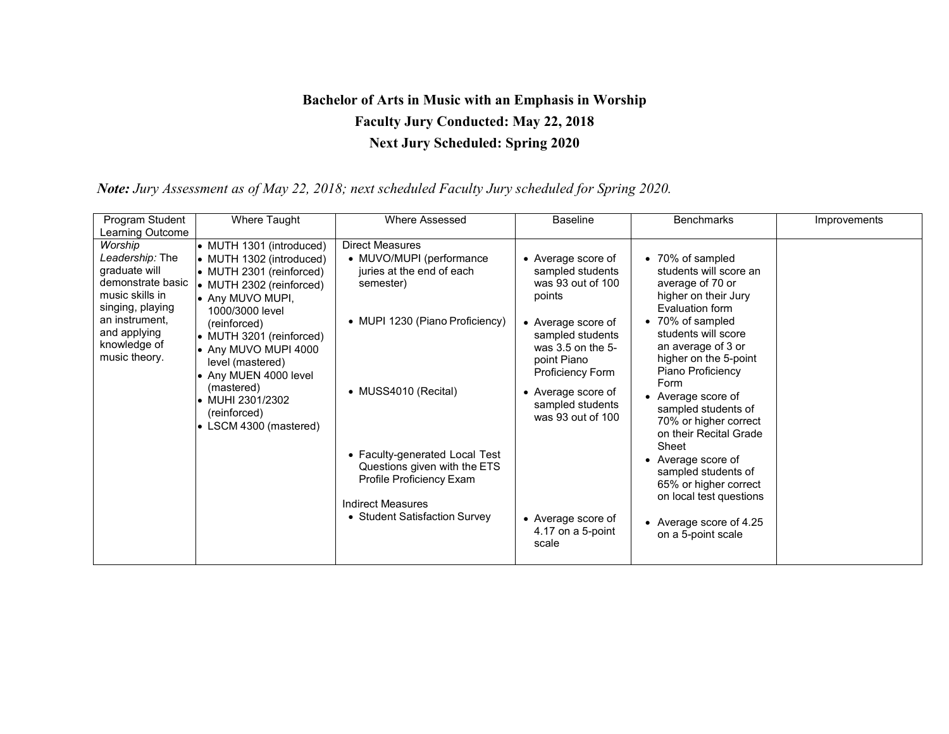## **Bachelor of Arts in Music with an Emphasis in Worship Faculty Jury Conducted: May 22, 2018 Next Jury Scheduled: Spring 2020**

 *Note: Jury Assessment as of May 22, 2018; next scheduled Faculty Jury scheduled for Spring 2020.*

| Program Student                                                                                                                                                            | Where Taught                                                                                                                                                                                                                                                                                                                                             | Where Assessed                                                                                                                                                                                                                                                                                              | <b>Baseline</b>                                                                                                                                                                                                                                                                            | <b>Benchmarks</b>                                                                                                                                                                                                                                                                                                                                                                                                                                                                         | Improvements |
|----------------------------------------------------------------------------------------------------------------------------------------------------------------------------|----------------------------------------------------------------------------------------------------------------------------------------------------------------------------------------------------------------------------------------------------------------------------------------------------------------------------------------------------------|-------------------------------------------------------------------------------------------------------------------------------------------------------------------------------------------------------------------------------------------------------------------------------------------------------------|--------------------------------------------------------------------------------------------------------------------------------------------------------------------------------------------------------------------------------------------------------------------------------------------|-------------------------------------------------------------------------------------------------------------------------------------------------------------------------------------------------------------------------------------------------------------------------------------------------------------------------------------------------------------------------------------------------------------------------------------------------------------------------------------------|--------------|
| Learning Outcome                                                                                                                                                           |                                                                                                                                                                                                                                                                                                                                                          |                                                                                                                                                                                                                                                                                                             |                                                                                                                                                                                                                                                                                            |                                                                                                                                                                                                                                                                                                                                                                                                                                                                                           |              |
| Worship<br>Leadership: The<br>graduate will<br>demonstrate basic<br>music skills in<br>singing, playing<br>an instrument,<br>and applying<br>knowledge of<br>music theory. | • MUTH 1301 (introduced)<br>• MUTH 1302 (introduced)<br>• MUTH 2301 (reinforced)<br>• MUTH 2302 (reinforced)<br>• Any MUVO MUPI,<br>1000/3000 level<br>(reinforced)<br>• MUTH 3201 (reinforced)<br>• Any MUVO MUPI 4000<br>level (mastered)<br>• Any MUEN 4000 level<br>(mastered)<br>• MUHI 2301/2302<br>(reinforced)<br>$\bullet$ LSCM 4300 (mastered) | <b>Direct Measures</b><br>• MUVO/MUPI (performance<br>juries at the end of each<br>semester)<br>• MUPI 1230 (Piano Proficiency)<br>• MUSS4010 (Recital)<br>• Faculty-generated Local Test<br>Questions given with the ETS<br>Profile Proficiency Exam<br>Indirect Measures<br>• Student Satisfaction Survey | • Average score of<br>sampled students<br>was 93 out of 100<br>points<br>• Average score of<br>sampled students<br>was 3.5 on the 5-<br>point Piano<br>Proficiency Form<br>• Average score of<br>sampled students<br>was 93 out of 100<br>• Average score of<br>4.17 on a 5-point<br>scale | • 70% of sampled<br>students will score an<br>average of 70 or<br>higher on their Jury<br>Evaluation form<br>• 70% of sampled<br>students will score<br>an average of 3 or<br>higher on the 5-point<br>Piano Proficiency<br>Form<br>Average score of<br>sampled students of<br>70% or higher correct<br>on their Recital Grade<br>Sheet<br>• Average score of<br>sampled students of<br>65% or higher correct<br>on local test questions<br>• Average score of 4.25<br>on a 5-point scale |              |